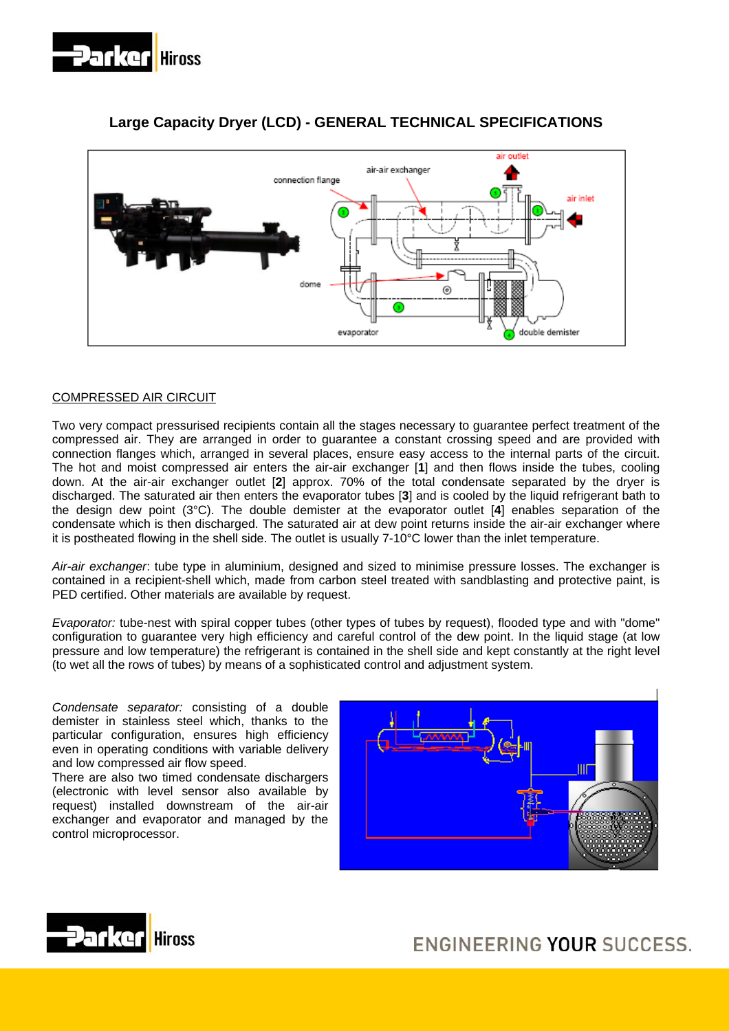



# **Large Capacity Dryer (LCD) - GENERAL TECHNICAL SPECIFICATIONS**

## COMPRESSED AIR CIRCUIT

Two very compact pressurised recipients contain all the stages necessary to guarantee perfect treatment of the compressed air. They are arranged in order to guarantee a constant crossing speed and are provided with connection flanges which, arranged in several places, ensure easy access to the internal parts of the circuit. The hot and moist compressed air enters the air-air exchanger [**1**] and then flows inside the tubes, cooling down. At the air-air exchanger outlet [**2**] approx. 70% of the total condensate separated by the dryer is discharged. The saturated air then enters the evaporator tubes [**3**] and is cooled by the liquid refrigerant bath to the design dew point (3°C). The double demister at the evaporator outlet [**4**] enables separation of the condensate which is then discharged. The saturated air at dew point returns inside the air-air exchanger where it is postheated flowing in the shell side. The outlet is usually 7-10°C lower than the inlet temperature.

*Air-air exchanger*: tube type in aluminium, designed and sized to minimise pressure losses. The exchanger is contained in a recipient-shell which, made from carbon steel treated with sandblasting and protective paint, is PED certified. Other materials are available by request.

*Evaporator:* tube-nest with spiral copper tubes (other types of tubes by request), flooded type and with "dome" configuration to guarantee very high efficiency and careful control of the dew point. In the liquid stage (at low pressure and low temperature) the refrigerant is contained in the shell side and kept constantly at the right level (to wet all the rows of tubes) by means of a sophisticated control and adjustment system.

*Condensate separator:* consisting of a double demister in stainless steel which, thanks to the particular configuration, ensures high efficiency even in operating conditions with variable delivery and low compressed air flow speed.

There are also two timed condensate dischargers (electronic with level sensor also available by request) installed downstream of the air-air exchanger and evaporator and managed by the control microprocessor.





ENGINEERING YOUR SUCCESS.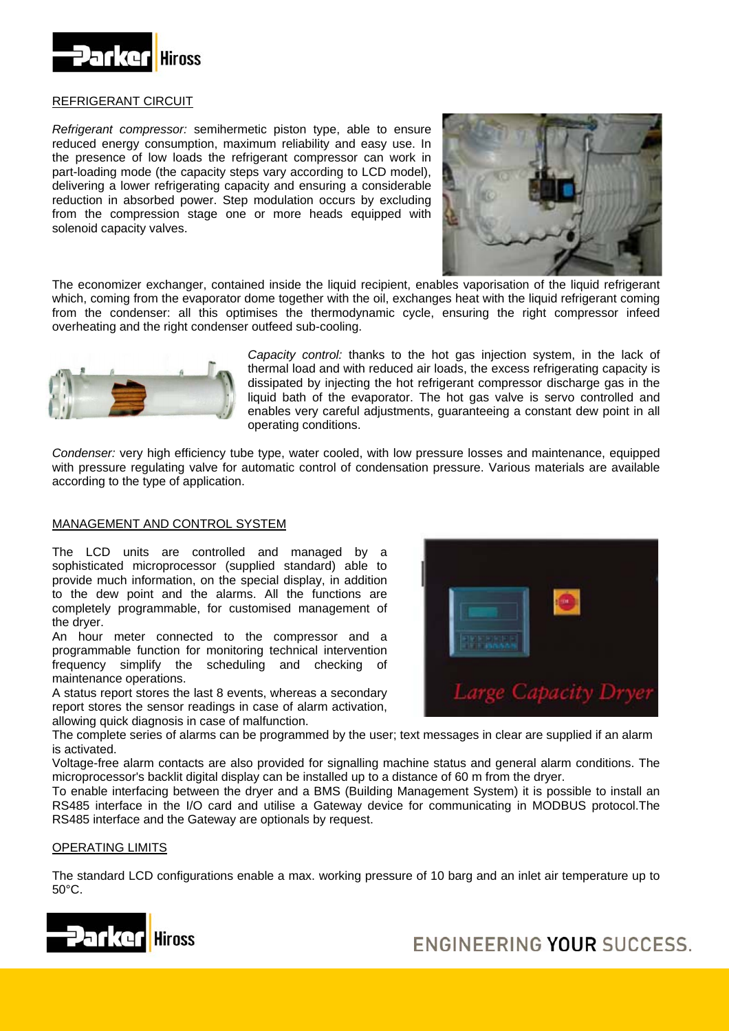

## REFRIGERANT CIRCUIT

*Refrigerant compressor:* semihermetic piston type, able to ensure reduced energy consumption, maximum reliability and easy use. In the presence of low loads the refrigerant compressor can work in part-loading mode (the capacity steps vary according to LCD model), delivering a lower refrigerating capacity and ensuring a considerable reduction in absorbed power. Step modulation occurs by excluding from the compression stage one or more heads equipped with solenoid capacity valves.



The economizer exchanger, contained inside the liquid recipient, enables vaporisation of the liquid refrigerant which, coming from the evaporator dome together with the oil, exchanges heat with the liquid refrigerant coming from the condenser: all this optimises the thermodynamic cycle, ensuring the right compressor infeed overheating and the right condenser outfeed sub-cooling.



*Capacity control:* thanks to the hot gas injection system, in the lack of thermal load and with reduced air loads, the excess refrigerating capacity is dissipated by injecting the hot refrigerant compressor discharge gas in the liquid bath of the evaporator. The hot gas valve is servo controlled and enables very careful adjustments, guaranteeing a constant dew point in all operating conditions.

*Condenser:* very high efficiency tube type, water cooled, with low pressure losses and maintenance, equipped with pressure regulating valve for automatic control of condensation pressure. Various materials are available according to the type of application.

#### MANAGEMENT AND CONTROL SYSTEM

The LCD units are controlled and managed by a sophisticated microprocessor (supplied standard) able to provide much information, on the special display, in addition to the dew point and the alarms. All the functions are completely programmable, for customised management of the dryer.

frequency simplify the scheduling and checking of An hour meter connected to the compressor and a programmable function for monitoring technical intervention maintenance operations.

report stores the sensor readings in case of alarm activation, A status report stores the last 8 events, whereas a secondary allowing quick diagnosis in case of malfunction.

Capacity Dryer

The complete series of alarms can be programmed by the user; text messages in clear are supplied if an alarm is activated.

Voltage-free alarm contacts are also provided for signalling machine status and general alarm conditions. The microprocessor's backlit digital display can be installed up to a distance of 60 m from the dryer.

RS485 interface in the I/O card and utilise a Gateway device for communicating in MODBUS protocol. The RS485 interface and the Gateway are optionals by request. To enable interfacing between the dryer and a BMS (Building Management System) it is possible to install an

## <u>OPERATING LIMITS</u>

The standard LCD configurations enable a max. working pressure of 10 barg and an inlet air temperature up to 50°C.



ENGINEERING YOUR SUCCESS.